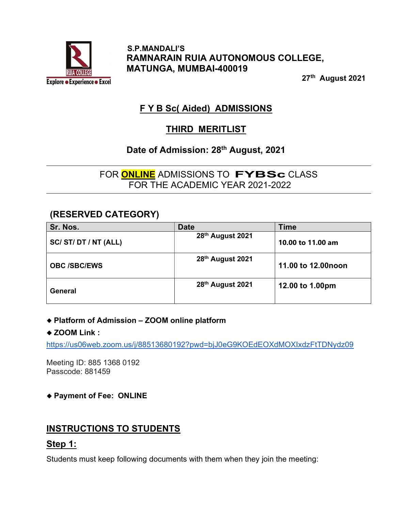

 S.P.MANDALI'S RAMNARAIN RUIA AUTONOMOUS COLLEGE, MATUNGA, MUMBAI-400019

27th August 2021

# F Y B Sc( Aided) ADMISSIONS

## THIRD MERITLIST

## Date of Admission: 28<sup>th</sup> August, 2021

FOR **ONLINE** ADMISSIONS TO **FYBSc** CLASS FOR THE ACADEMIC YEAR 2021-2022

### (RESERVED CATEGORY)

| Sr. Nos.            | <b>Date</b>      | <b>Time</b>         |
|---------------------|------------------|---------------------|
| SC/ST/DT/NT(ALL)    | 28th August 2021 | 10.00 to 11.00 am   |
| <b>OBC /SBC/EWS</b> | 28th August 2021 | 11.00 to 12.00 noon |
| General             | 28th August 2021 | 12.00 to 1.00pm     |

#### Platform of Admission – ZOOM online platform

#### ◆ ZOOM Link :

https://us06web.zoom.us/j/88513680192?pwd=bjJ0eG9KOEdEOXdMOXIxdzFtTDNydz09

Meeting ID: 885 1368 0192 Passcode: 881459

#### Payment of Fee: ONLINE

## INSTRUCTIONS TO STUDENTS

#### Step 1:

Students must keep following documents with them when they join the meeting: